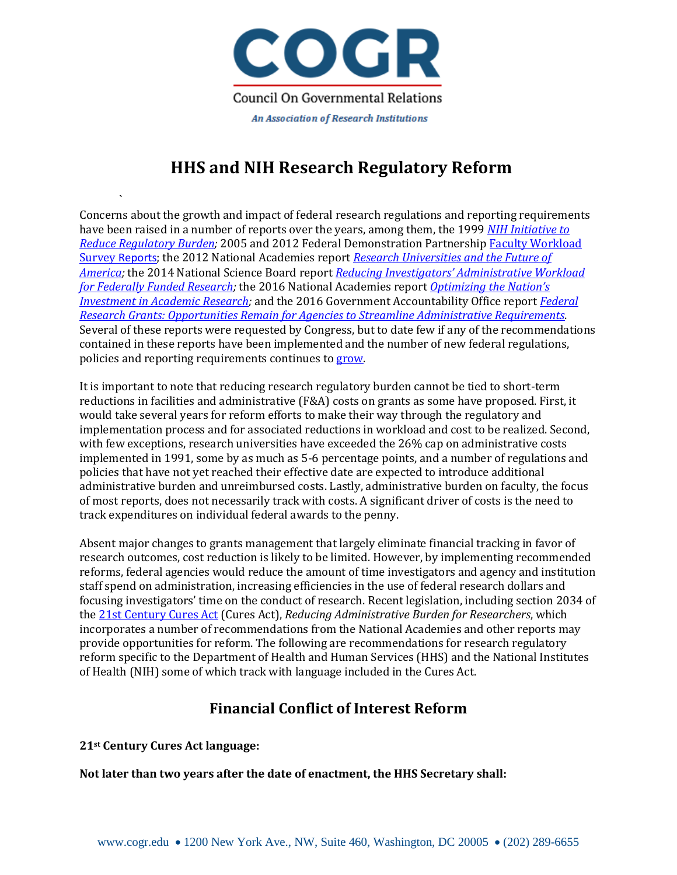

# **HHS and NIH Research Regulatory Reform**

` Concerns about the growth and impact of federal research regulations and reporting requirements have been raised in a number of reports over the years, among them, the 1999 *[NIH Initiative to](https://archives.nih.gov/asites/grants/06-17-2015/archive/grants/policy/regulatoryburden/index.htm)  [Reduce Regulatory Burden;](https://archives.nih.gov/asites/grants/06-17-2015/archive/grants/policy/regulatoryburden/index.htm)* 2005 and 2012 Federal Demonstration Partnership [Faculty Workload](http://sites.nationalacademies.org/cs/groups/pgasite/documents/webpage/pga_087667.pdf)  Survey [Reports](http://sites.nationalacademies.org/cs/groups/pgasite/documents/webpage/pga_087667.pdf); the 2012 National Academies report *[Research Universities and the Future of](http://sites.nationalacademies.org/pga/bhew/researchuniversities/)  [America;](http://sites.nationalacademies.org/pga/bhew/researchuniversities/)* the 2014 National Science Board report *[Reducing Investigators' Administrative Workload](https://www.nsf.gov/pubs/2014/nsb1418/nsb1418.pdf)  [for Federally Funded Research;](https://www.nsf.gov/pubs/2014/nsb1418/nsb1418.pdf)* the 2016 National Academies report *[Optimizing the Nation's](https://www.nap.edu/catalog/21824/optimizing-the-nations-investment-in-academic-research-a-new-regulatory)  [Investment in Academic Research;](https://www.nap.edu/catalog/21824/optimizing-the-nations-investment-in-academic-research-a-new-regulatory)* and the 2016 Government Accountability Office report *[Federal](http://www.gao.gov/assets/680/677949.pdf)  [Research Grants: Opportunities Remain for Agencies to Streamline Administrative Requirements](http://www.gao.gov/assets/680/677949.pdf)*. Several of these reports were requested by Congress, but to date few if any of the recommendations contained in these reports have been implemented and the number of new federal regulations, policies and reporting requirements continues t[o grow.](http://www.cogr.edu/sites/default/files/RegChangesSince1991_012417.pdf)

It is important to note that reducing research regulatory burden cannot be tied to short-term reductions in facilities and administrative (F&A) costs on grants as some have proposed. First, it would take several years for reform efforts to make their way through the regulatory and implementation process and for associated reductions in workload and cost to be realized. Second, with few exceptions, research universities have exceeded the 26% cap on administrative costs implemented in 1991, some by as much as 5-6 percentage points, and a number of regulations and policies that have not yet reached their effective date are expected to introduce additional administrative burden and unreimbursed costs. Lastly, administrative burden on faculty, the focus of most reports, does not necessarily track with costs. A significant driver of costs is the need to track expenditures on individual federal awards to the penny.

Absent major changes to grants management that largely eliminate financial tracking in favor of research outcomes, cost reduction is likely to be limited. However, by implementing recommended reforms, federal agencies would reduce the amount of time investigators and agency and institution staff spend on administration, increasing efficiencies in the use of federal research dollars and focusing investigators' time on the conduct of research. Recent legislation, including section 2034 of th[e 21st Century Cures Act](https://www.congress.gov/114/bills/hr34/BILLS-114hr34enr.pdf) (Cures Act), *Reducing Administrative Burden for Researchers*, which incorporates a number of recommendations from the National Academies and other reports may provide opportunities for reform. The following are recommendations for research regulatory reform specific to the Department of Health and Human Services (HHS) and the National Institutes of Health (NIH) some of which track with language included in the Cures Act.

### **Financial Conflict of Interest Reform**

**21st Century Cures Act language:**

**Not later than two years after the date of enactment, the HHS Secretary shall:**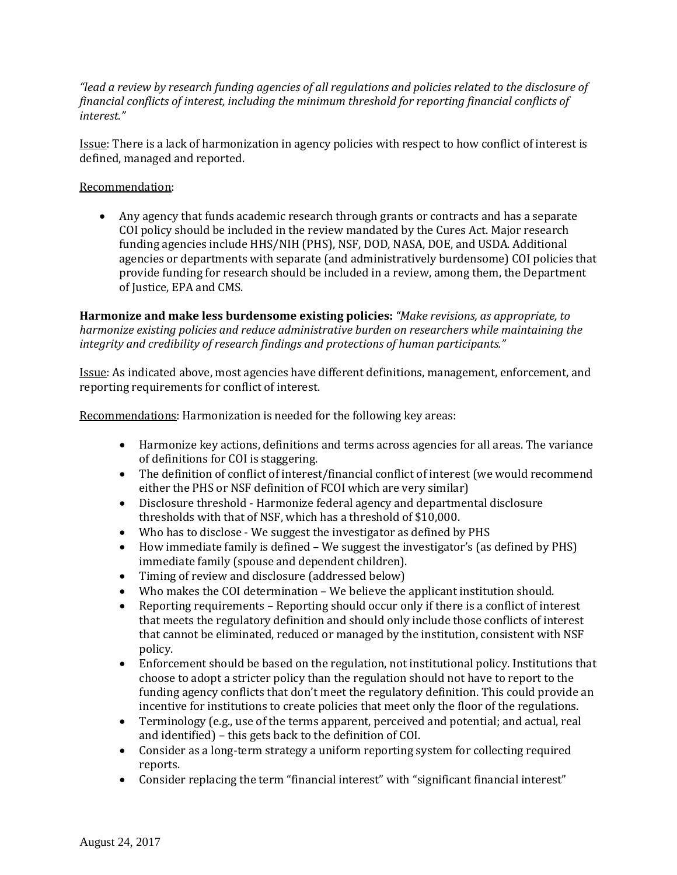*"lead a review by research funding agencies of all regulations and policies related to the disclosure of financial conflicts of interest, including the minimum threshold for reporting financial conflicts of interest."*

Issue: There is a lack of harmonization in agency policies with respect to how conflict of interest is defined, managed and reported.

#### Recommendation:

• Any agency that funds academic research through grants or contracts and has a separate COI policy should be included in the review mandated by the Cures Act. Major research funding agencies include HHS/NIH (PHS), NSF, DOD, NASA, DOE, and USDA. Additional agencies or departments with separate (and administratively burdensome) COI policies that provide funding for research should be included in a review, among them, the Department of Justice, EPA and CMS.

**Harmonize and make less burdensome existing policies:** *"Make revisions, as appropriate, to harmonize existing policies and reduce administrative burden on researchers while maintaining the integrity and credibility of research findings and protections of human participants."*

Issue: As indicated above, most agencies have different definitions, management, enforcement, and reporting requirements for conflict of interest.

Recommendations: Harmonization is needed for the following key areas:

- Harmonize key actions, definitions and terms across agencies for all areas. The variance of definitions for COI is staggering.
- The definition of conflict of interest/financial conflict of interest (we would recommend either the PHS or NSF definition of FCOI which are very similar)
- Disclosure threshold Harmonize federal agency and departmental disclosure thresholds with that of NSF, which has a threshold of \$10,000.
- Who has to disclose We suggest the investigator as defined by PHS
- How immediate family is defined We suggest the investigator's (as defined by PHS) immediate family (spouse and dependent children).
- Timing of review and disclosure (addressed below)
- Who makes the COI determination We believe the applicant institution should.
- Reporting requirements Reporting should occur only if there is a conflict of interest that meets the regulatory definition and should only include those conflicts of interest that cannot be eliminated, reduced or managed by the institution, consistent with NSF policy.
- Enforcement should be based on the regulation, not institutional policy. Institutions that choose to adopt a stricter policy than the regulation should not have to report to the funding agency conflicts that don't meet the regulatory definition. This could provide an incentive for institutions to create policies that meet only the floor of the regulations.
- Terminology (e.g., use of the terms apparent, perceived and potential; and actual, real and identified) – this gets back to the definition of COI.
- Consider as a long-term strategy a uniform reporting system for collecting required reports.
- Consider replacing the term "financial interest" with "significant financial interest"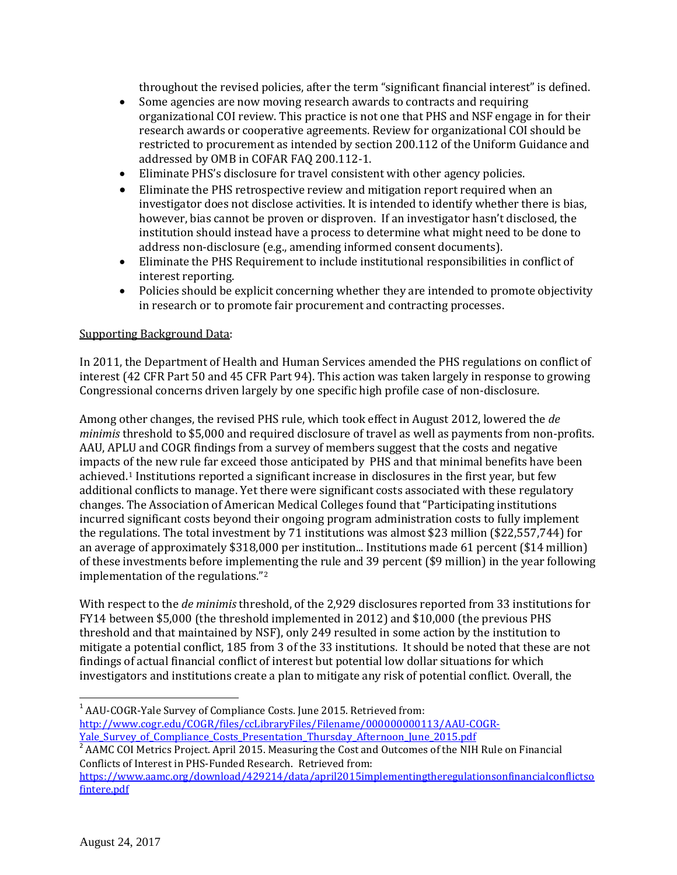throughout the revised policies, after the term "significant financial interest" is defined.

- Some agencies are now moving research awards to contracts and requiring organizational COI review. This practice is not one that PHS and NSF engage in for their research awards or cooperative agreements. Review for organizational COI should be restricted to procurement as intended by section 200.112 of the Uniform Guidance and addressed by OMB in COFAR FAQ 200.112-1.
- Eliminate PHS's disclosure for travel consistent with other agency policies.
- Eliminate the PHS retrospective review and mitigation report required when an investigator does not disclose activities. It is intended to identify whether there is bias, however, bias cannot be proven or disproven. If an investigator hasn't disclosed, the institution should instead have a process to determine what might need to be done to address non-disclosure (e.g., amending informed consent documents).
- Eliminate the PHS Requirement to include institutional responsibilities in conflict of interest reporting.
- Policies should be explicit concerning whether they are intended to promote objectivity in research or to promote fair procurement and contracting processes.

#### Supporting Background Data:

In 2011, the Department of Health and Human Services amended the PHS regulations on conflict of interest (42 CFR Part 50 and 45 CFR Part 94). This action was taken largely in response to growing Congressional concerns driven largely by one specific high profile case of non-disclosure.

Among other changes, the revised PHS rule, which took effect in August 2012, lowered the *de minimis* threshold to \$5,000 and required disclosure of travel as well as payments from non-profits. AAU, APLU and COGR findings from a survey of members suggest that the costs and negative impacts of the new rule far exceed those anticipated by PHS and that minimal benefits have been achieved.[1](#page-2-0) Institutions reported a significant increase in disclosures in the first year, but few additional conflicts to manage. Yet there were significant costs associated with these regulatory changes. The Association of American Medical Colleges found that "Participating institutions incurred significant costs beyond their ongoing program administration costs to fully implement the regulations. The total investment by 71 institutions was almost \$23 million (\$22,557,744) for an average of approximately \$318,000 per institution... Institutions made 61 percent (\$14 million) of these investments before imple[me](#page-2-1)nting the rule and 39 percent (\$9 million) in the year following implementation of the regulations."2

With respect to the *de minimis* threshold, of the 2,929 disclosures reported from 33 institutions for FY14 between \$5,000 (the threshold implemented in 2012) and \$10,000 (the previous PHS threshold and that maintained by NSF), only 249 resulted in some action by the institution to mitigate a potential conflict, 185 from 3 of the 33 institutions. It should be noted that these are not findings of actual financial conflict of interest but potential low dollar situations for which investigators and institutions create a plan to mitigate any risk of potential conflict. Overall, the

<span id="page-2-0"></span><sup>1</sup> AAU-COGR-Yale Survey of Compliance Costs. June 2015. Retrieved from: [http://www.cogr.edu/COGR/files/ccLibraryFiles/Filename/000000000113/AAU-COGR-](http://www.cogr.edu/COGR/files/ccLibraryFiles/Filename/000000000113/AAU-COGR-Yale_Survey_of_Compliance_Costs_Presentation_Thursday_Afternoon_June_2015.pdf)Yale Survey of Compliance Costs Presentation Thursday Afternoon June 2015.pdf

<span id="page-2-1"></span><sup>2</sup> AAMC COI Metrics Project. April 2015. Measuring the Cost and Outcomes of the NIH Rule on Financial Conflicts of Interest in PHS-Funded Research. Retrieved from:

[https://www.aamc.org/download/429214/data/april2015implementingtheregulationsonfinancialconflictso](https://www.aamc.org/download/429214/data/april2015implementingtheregulationsonfinancialconflictsofintere.pdf) [fintere.pdf](https://www.aamc.org/download/429214/data/april2015implementingtheregulationsonfinancialconflictsofintere.pdf)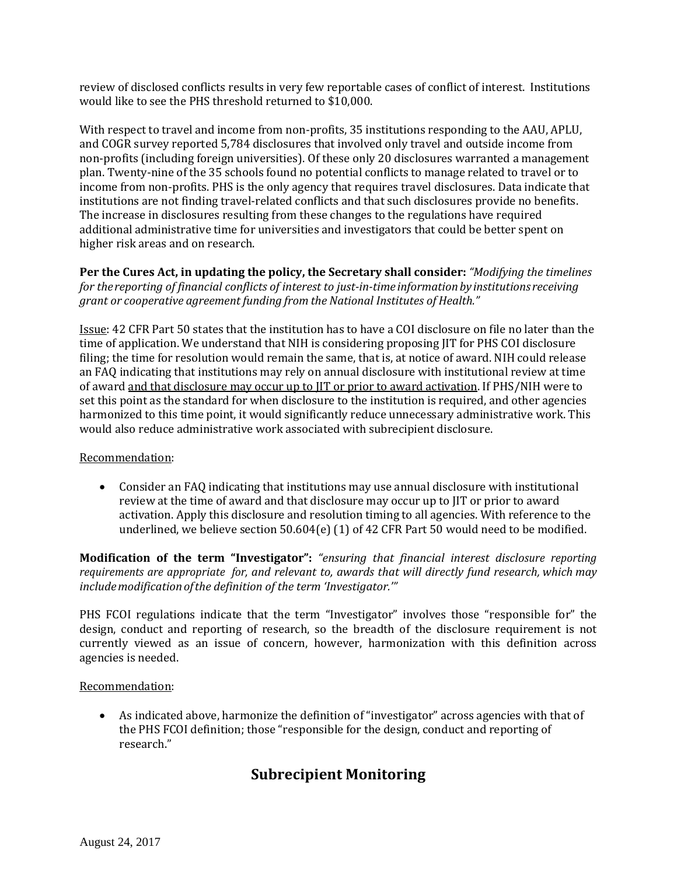review of disclosed conflicts results in very few reportable cases of conflict of interest. Institutions would like to see the PHS threshold returned to \$10,000.

With respect to travel and income from non-profits, 35 institutions responding to the AAU, APLU, and COGR survey reported 5,784 disclosures that involved only travel and outside income from non-profits (including foreign universities). Of these only 20 disclosures warranted a management plan. Twenty-nine of the 35 schools found no potential conflicts to manage related to travel or to income from non-profits. PHS is the only agency that requires travel disclosures. Data indicate that institutions are not finding travel-related conflicts and that such disclosures provide no benefits. The increase in disclosures resulting from these changes to the regulations have required additional administrative time for universities and investigators that could be better spent on higher risk areas and on research.

**Per the Cures Act, in updating the policy, the Secretary shall consider:** *"Modifying the timelines for thereporting of financial conflicts of interest to just-in-time informationby institutions receiving grant or cooperative agreement funding from the National Institutes of Health."*

Issue: 42 CFR Part 50 states that the institution has to have a COI disclosure on file no later than the time of application. We understand that NIH is considering proposing JIT for PHS COI disclosure filing; the time for resolution would remain the same, that is, at notice of award. NIH could release an FAQ indicating that institutions may rely on annual disclosure with institutional review at time of award and that disclosure may occur up to JIT or prior to award activation. If PHS/NIH were to set this point as the standard for when disclosure to the institution is required, and other agencies harmonized to this time point, it would significantly reduce unnecessary administrative work. This would also reduce administrative work associated with subrecipient disclosure.

#### Recommendation:

• Consider an FAQ indicating that institutions may use annual disclosure with institutional review at the time of award and that disclosure may occur up to JIT or prior to award activation. Apply this disclosure and resolution timing to all agencies. With reference to the underlined, we believe section 50.604(e) (1) of 42 CFR Part 50 would need to be modified.

**Modification of the term "Investigator":** *"ensuring that financial interest disclosure reporting requirements are appropriate for, and relevant to, awards that will directly fund research, which may includemodificationofthe definition of the term 'Investigator.'"*

PHS FCOI regulations indicate that the term "Investigator" involves those "responsible for" the design, conduct and reporting of research, so the breadth of the disclosure requirement is not currently viewed as an issue of concern, however, harmonization with this definition across agencies is needed.

#### Recommendation:

• As indicated above, harmonize the definition of "investigator" across agencies with that of the PHS FCOI definition; those "responsible for the design, conduct and reporting of research."

### **Subrecipient Monitoring**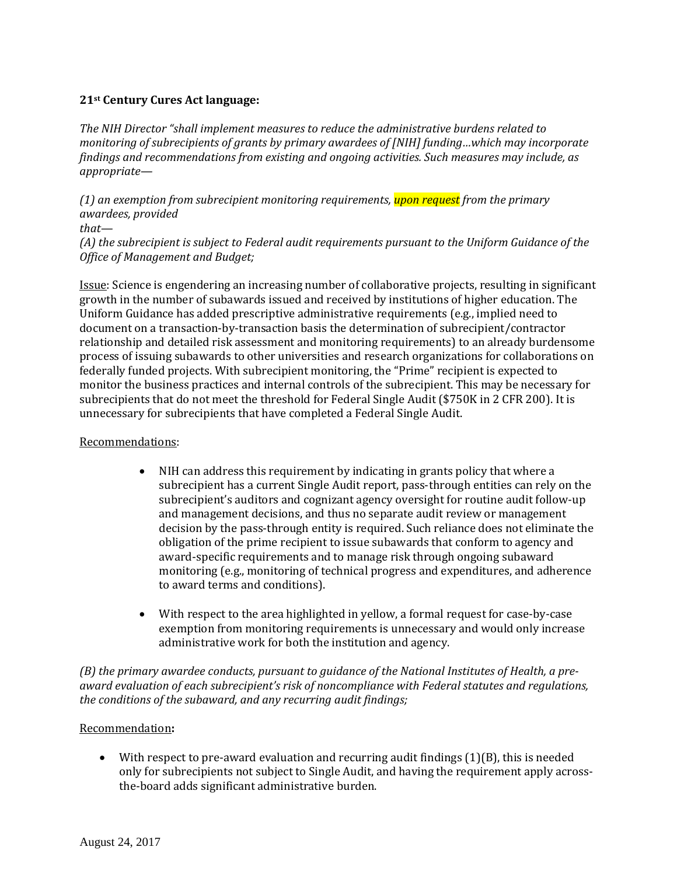#### **21st Century Cures Act language:**

*The NIH Director "shall implement measures to reduce the administrative burdens related to monitoring of subrecipients of grants by primary awardees of [NIH] funding…which may incorporate findings and recommendations from existing and ongoing activities. Such measures may include, as appropriate—*

*(1) an exemption from subrecipient monitoring requirements, upon request from the primary awardees, provided*

#### *that—*

*(A) the subrecipient is subject to Federal audit requirements pursuant to the Uniform Guidance of the Office of Management and Budget;*

Issue: Science is engendering an increasing number of collaborative projects, resulting in significant growth in the number of subawards issued and received by institutions of higher education. The Uniform Guidance has added prescriptive administrative requirements (e.g., implied need to document on a transaction-by-transaction basis the determination of subrecipient/contractor relationship and detailed risk assessment and monitoring requirements) to an already burdensome process of issuing subawards to other universities and research organizations for collaborations on federally funded projects. With subrecipient monitoring, the "Prime" recipient is expected to monitor the business practices and internal controls of the subrecipient. This may be necessary for subrecipients that do not meet the threshold for Federal Single Audit (\$750K in 2 CFR 200). It is unnecessary for subrecipients that have completed a Federal Single Audit.

#### Recommendations:

- NIH can address this requirement by indicating in grants policy that where a subrecipient has a current Single Audit report, pass-through entities can rely on the subrecipient's auditors and cognizant agency oversight for routine audit follow-up and management decisions, and thus no separate audit review or management decision by the pass-through entity is required. Such reliance does not eliminate the obligation of the prime recipient to issue subawards that conform to agency and award-specific requirements and to manage risk through ongoing subaward monitoring (e.g., monitoring of technical progress and expenditures, and adherence to award terms and conditions).
- With respect to the area highlighted in yellow, a formal request for case-by-case exemption from monitoring requirements is unnecessary and would only increase administrative work for both the institution and agency.

*(B) the primary awardee conducts, pursuant to guidance of the National Institutes of Health, a preaward evaluation of each subrecipient's risk of noncompliance with Federal statutes and regulations, the conditions of the subaward, and any recurring audit findings;* 

#### Recommendation**:**

• With respect to pre-award evaluation and recurring audit findings (1)(B), this is needed only for subrecipients not subject to Single Audit, and having the requirement apply acrossthe-board adds significant administrative burden.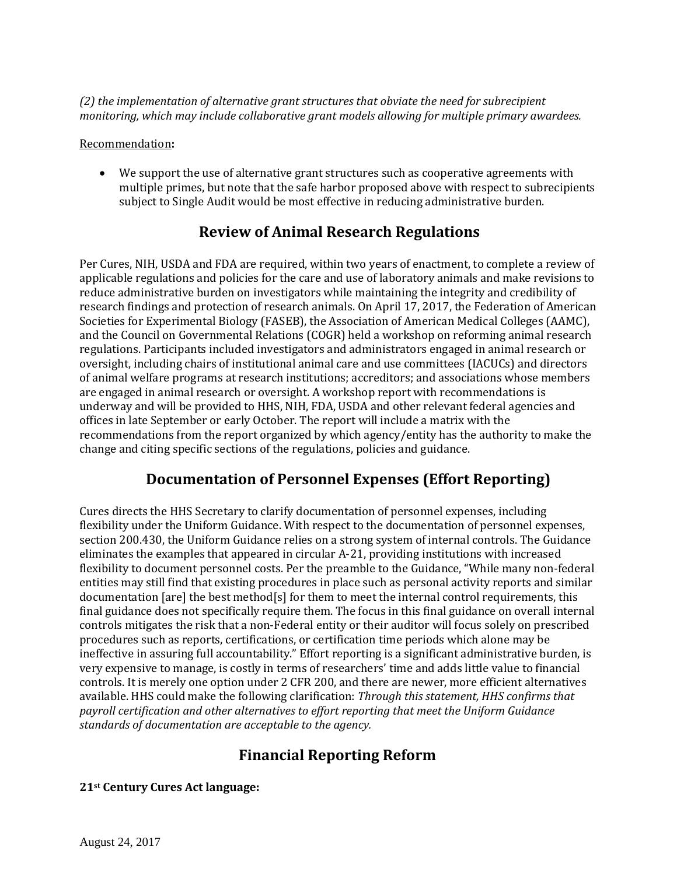*(2) the implementation of alternative grant structures that obviate the need for subrecipient monitoring, which may include collaborative grant models allowing for multiple primary awardees.*

#### Recommendation**:**

We support the use of alternative grant structures such as cooperative agreements with multiple primes, but note that the safe harbor proposed above with respect to subrecipients subject to Single Audit would be most effective in reducing administrative burden.

### **Review of Animal Research Regulations**

Per Cures, NIH, USDA and FDA are required, within two years of enactment, to complete a review of applicable regulations and policies for the care and use of laboratory animals and make revisions to reduce administrative burden on investigators while maintaining the integrity and credibility of research findings and protection of research animals. On April 17, 2017, the Federation of American Societies for Experimental Biology (FASEB), the Association of American Medical Colleges (AAMC), and the Council on Governmental Relations (COGR) held a workshop on reforming animal research regulations. Participants included investigators and administrators engaged in animal research or oversight, including chairs of institutional animal care and use committees (IACUCs) and directors of animal welfare programs at research institutions; accreditors; and associations whose members are engaged in animal research or oversight. A workshop report with recommendations is underway and will be provided to HHS, NIH, FDA, USDA and other relevant federal agencies and offices in late September or early October. The report will include a matrix with the recommendations from the report organized by which agency/entity has the authority to make the change and citing specific sections of the regulations, policies and guidance.

### **Documentation of Personnel Expenses (Effort Reporting)**

Cures directs the HHS Secretary to clarify documentation of personnel expenses, including flexibility under the Uniform Guidance. With respect to the documentation of personnel expenses, section 200.430, the Uniform Guidance relies on a strong system of internal controls. The Guidance eliminates the examples that appeared in circular A-21, providing institutions with increased flexibility to document personnel costs. Per the preamble to the Guidance, "While many non-federal entities may still find that existing procedures in place such as personal activity reports and similar documentation [are] the best method[s] for them to meet the internal control requirements, this final guidance does not specifically require them. The focus in this final guidance on overall internal controls mitigates the risk that a non-Federal entity or their auditor will focus solely on prescribed procedures such as reports, certifications, or certification time periods which alone may be ineffective in assuring full accountability." Effort reporting is a significant administrative burden, is very expensive to manage, is costly in terms of researchers' time and adds little value to financial controls. It is merely one option under 2 CFR 200, and there are newer, more efficient alternatives available. HHS could make the following clarification: *Through this statement, HHS confirms that payroll certification and other alternatives to effort reporting that meet the Uniform Guidance standards of documentation are acceptable to the agency.*

# **Financial Reporting Reform**

#### **21st Century Cures Act language:**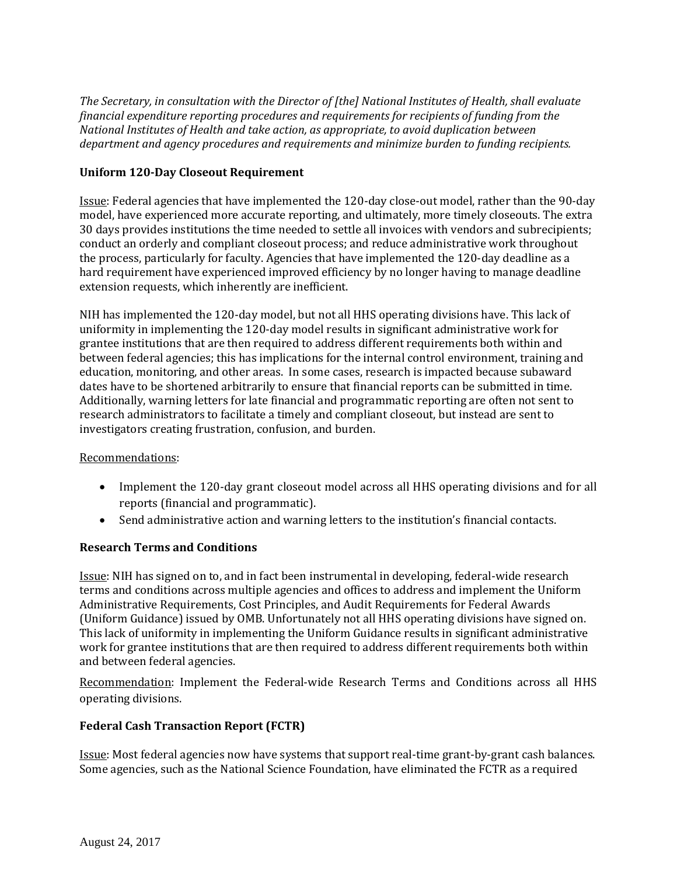*The Secretary, in consultation with the Director of [the] National Institutes of Health, shall evaluate financial expenditure reporting procedures and requirements for recipients of funding from the National Institutes of Health and take action, as appropriate, to avoid duplication between department and agency procedures and requirements and minimize burden to funding recipients.*

#### **Uniform 120-Day Closeout Requirement**

Issue: Federal agencies that have implemented the 120-day close-out model, rather than the 90-day model, have experienced more accurate reporting, and ultimately, more timely closeouts. The extra 30 days provides institutions the time needed to settle all invoices with vendors and subrecipients; conduct an orderly and compliant closeout process; and reduce administrative work throughout the process, particularly for faculty. Agencies that have implemented the 120-day deadline as a hard requirement have experienced improved efficiency by no longer having to manage deadline extension requests, which inherently are inefficient.

NIH has implemented the 120-day model, but not all HHS operating divisions have. This lack of uniformity in implementing the 120-day model results in significant administrative work for grantee institutions that are then required to address different requirements both within and between federal agencies; this has implications for the internal control environment, training and education, monitoring, and other areas. In some cases, research is impacted because subaward dates have to be shortened arbitrarily to ensure that financial reports can be submitted in time. Additionally, warning letters for late financial and programmatic reporting are often not sent to research administrators to facilitate a timely and compliant closeout, but instead are sent to investigators creating frustration, confusion, and burden.

#### Recommendations:

- Implement the 120-day grant closeout model across all HHS operating divisions and for all reports (financial and programmatic).
- Send administrative action and warning letters to the institution's financial contacts.

#### **Research Terms and Conditions**

Issue: NIH has signed on to, and in fact been instrumental in developing, federal-wide research terms and conditions across multiple agencies and offices to address and implement the Uniform Administrative Requirements, Cost Principles, and Audit Requirements for Federal Awards (Uniform Guidance) issued by OMB. Unfortunately not all HHS operating divisions have signed on. This lack of uniformity in implementing the Uniform Guidance results in significant administrative work for grantee institutions that are then required to address different requirements both within and between federal agencies.

Recommendation: Implement the Federal-wide Research Terms and Conditions across all HHS operating divisions.

#### **Federal Cash Transaction Report (FCTR)**

Issue: Most federal agencies now have systems that support real-time grant-by-grant cash balances. Some agencies, such as the National Science Foundation, have eliminated the FCTR as a required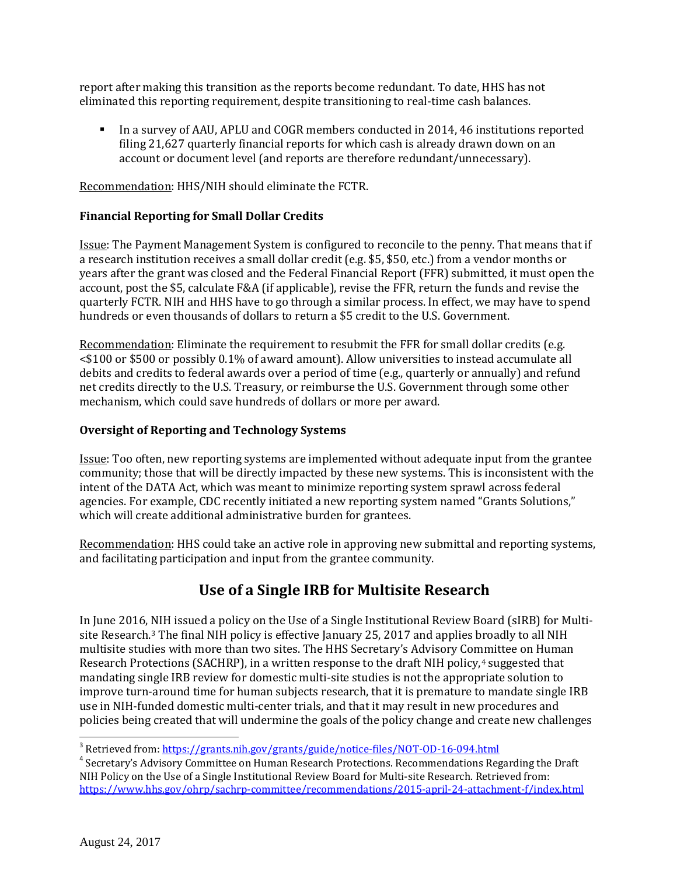report after making this transition as the reports become redundant. To date, HHS has not eliminated this reporting requirement, despite transitioning to real-time cash balances.

 In a survey of AAU, APLU and COGR members conducted in 2014, 46 institutions reported filing 21,627 quarterly financial reports for which cash is already drawn down on an account or document level (and reports are therefore redundant/unnecessary).

Recommendation: HHS/NIH should eliminate the FCTR.

#### **Financial Reporting for Small Dollar Credits**

Issue: The Payment Management System is configured to reconcile to the penny. That means that if a research institution receives a small dollar credit (e.g. \$5, \$50, etc.) from a vendor months or years after the grant was closed and the Federal Financial Report (FFR) submitted, it must open the account, post the \$5, calculate F&A (if applicable), revise the FFR, return the funds and revise the quarterly FCTR. NIH and HHS have to go through a similar process. In effect, we may have to spend hundreds or even thousands of dollars to return a \$5 credit to the U.S. Government.

Recommendation: Eliminate the requirement to resubmit the FFR for small dollar credits (e.g. <\$100 or \$500 or possibly 0.1% of award amount). Allow universities to instead accumulate all debits and credits to federal awards over a period of time (e.g., quarterly or annually) and refund net credits directly to the U.S. Treasury, or reimburse the U.S. Government through some other mechanism, which could save hundreds of dollars or more per award.

#### **Oversight of Reporting and Technology Systems**

Issue: Too often, new reporting systems are implemented without adequate input from the grantee community; those that will be directly impacted by these new systems. This is inconsistent with the intent of the DATA Act, which was meant to minimize reporting system sprawl across federal agencies. For example, CDC recently initiated a new reporting system named "Grants Solutions," which will create additional administrative burden for grantees.

Recommendation: HHS could take an active role in approving new submittal and reporting systems, and facilitating participation and input from the grantee community.

### **Use of a Single IRB for Multisite Research**

In June 2016, NIH issued a policy on the Use of a Single Institutional Review Board (sIRB) for Multisite Research.[3](#page-7-0) The final NIH policy is effective January 25, 2017 and applies broadly to all NIH multisite studies with more than two sites. The HHS Secretary's Advisory Committee on Human Research Protections (SACHRP), in a written response to the draft NIH policy,<sup>[4](#page-7-1)</sup> suggested that mandating single IRB review for domestic multi-site studies is not the appropriate solution to improve turn-around time for human subjects research, that it is premature to mandate single IRB use in NIH-funded domestic multi-center trials, and that it may result in new procedures and policies being created that will undermine the goals of the policy change and create new challenges

<span id="page-7-1"></span><span id="page-7-0"></span><sup>&</sup>lt;sup>3</sup> Retrieved from:<https://grants.nih.gov/grants/guide/notice-files/NOT-OD-16-094.html> 4 Secretary's Advisory Committee on Human Research Protections. Recommendations Regarding the Draft NIH Policy on the Use of a Single Institutional Review Board for Multi-site Research. Retrieved from: <https://www.hhs.gov/ohrp/sachrp-committee/recommendations/2015-april-24-attachment-f/index.html>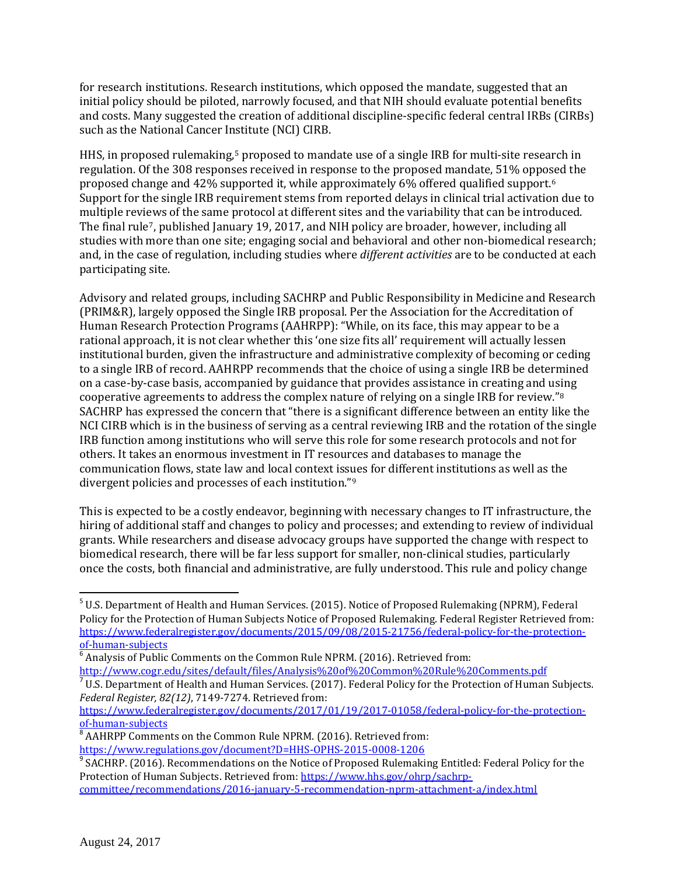for research institutions. Research institutions, which opposed the mandate, suggested that an initial policy should be piloted, narrowly focused, and that NIH should evaluate potential benefits and costs. Many suggested the creation of additional discipline-specific federal central IRBs (CIRBs) such as the National Cancer Institute (NCI) CIRB.

HHS, in proposed rulemaking,<sup>[5](#page-8-0)</sup> proposed to mandate use of a single IRB for multi-site research in regulation. Of the 308 responses received in response to the proposed mandate, 51% opposed the proposed change and 42% supported it, while approximately 6% offered qualified support.[6](#page-8-1) Support for the single IRB requirement stems from reported delays in clinical trial activation due to multiple reviews of the same protocol at different sites and the variability that can be introduced. The final rule[7,](#page-8-2) published January 19, 2017, and NIH policy are broader, however, including all studies with more than one site; engaging social and behavioral and other non-biomedical research; and, in the case of regulation, including studies where *different activities* are to be conducted at each participating site.

Advisory and related groups, including SACHRP and Public Responsibility in Medicine and Research (PRIM&R), largely opposed the Single IRB proposal. Per the Association for the Accreditation of Human Research Protection Programs (AAHRPP): "While, on its face, this may appear to be a rational approach, it is not clear whether this 'one size fits all' requirement will actually lessen institutional burden, given the infrastructure and administrative complexity of becoming or ceding to a single IRB of record. AAHRPP recommends that the choice of using a single IRB be determined on a case-by-case basis, accompanied by guidance that provides assistance in creating and u[sin](#page-8-3)g cooperative agreements to address the complex nature of relying on a single IRB for review."8 SACHRP has expressed the concern that "there is a significant difference between an entity like the NCI CIRB which is in the business of serving as a central reviewing IRB and the rotation of the single IRB function among institutions who will serve this role for some research protocols and not for others. It takes an enormous investment in IT resources and databases to manage the communication flows, state law and local context iss[ue](#page-8-4)s for different institutions as well as the divergent policies and processes of each institution."9

This is expected to be a costly endeavor, beginning with necessary changes to IT infrastructure, the hiring of additional staff and changes to policy and processes; and extending to review of individual grants. While researchers and disease advocacy groups have supported the change with respect to biomedical research, there will be far less support for smaller, non-clinical studies, particularly once the costs, both financial and administrative, are fully understood. This rule and policy change

<span id="page-8-0"></span><sup>&</sup>lt;sup>5</sup> U.S. Department of Health and Human Services. (2015). Notice of Proposed Rulemaking (NPRM), Federal Policy for the Protection of Human Subjects Notice of Proposed Rulemaking. Federal Register Retrieved from: [https://www.federalregister.gov/documents/2015/09/08/2015-21756/federal-policy-for-the-protection-](https://www.federalregister.gov/documents/2015/09/08/2015-21756/federal-policy-for-the-protection-of-human-subjects)

<span id="page-8-1"></span> $^6$  Analysis of Public Comments on the Common Rule NPRM. (2016). Retrieved from:<br>http://www.cogr.edu/sites/default/files/Analysis%20of%20Common%20Rule%20Comments.pdf

<span id="page-8-2"></span> $\frac{1}{2}$  U.S. Department of Health and Human Services. (2017). Federal Policy for the Protection of Human Subjects. *Federal Register, 82(12)*, 7149-7274. Retrieved from:

https://www.federalregister.gov/documents/2017/01/19/2017-01058/federal-policy-for-the-protection-<br>of-human-subjects

<span id="page-8-3"></span><sup>&</sup>lt;sup>8</sup> AAHRPP Comments on the Common Rule NPRM. (2016). Retrieved from:<br>https://www.regulations.gov/document?D=HHS-OPHS-2015-0008-1206

<span id="page-8-4"></span> $9$  SACHRP. (2016). Recommendations on the Notice of Proposed Rulemaking Entitled: Federal Policy for the Protection of Human Subjects. Retrieved from[: https://www.hhs.gov/ohrp/sachrp-](https://www.hhs.gov/ohrp/sachrp-committee/recommendations/2016-january-5-recommendation-nprm-attachment-a/index.html)

[committee/recommendations/2016-january-5-recommendation-nprm-attachment-a/index.html](https://www.hhs.gov/ohrp/sachrp-committee/recommendations/2016-january-5-recommendation-nprm-attachment-a/index.html)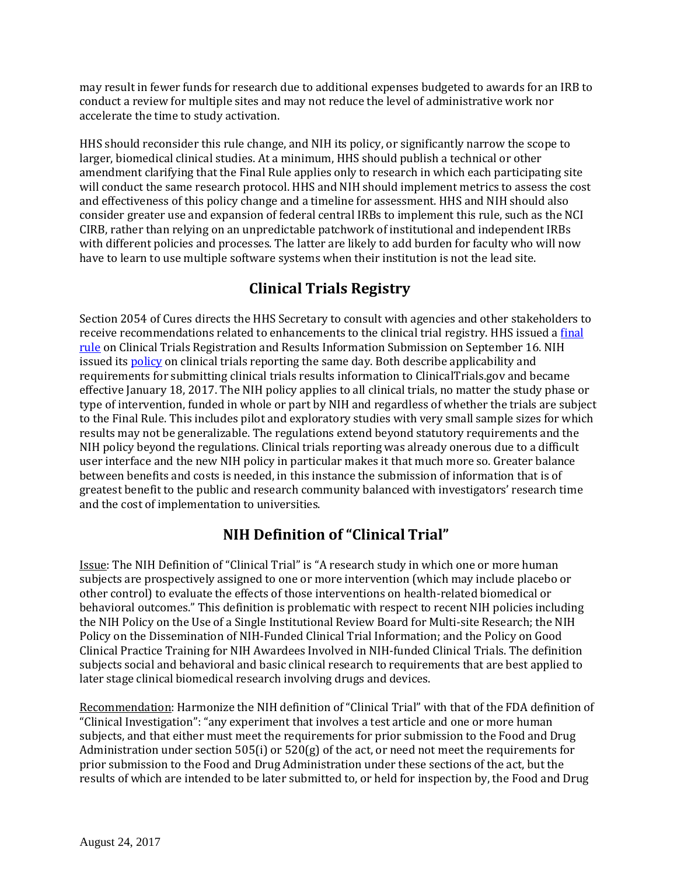may result in fewer funds for research due to additional expenses budgeted to awards for an IRB to conduct a review for multiple sites and may not reduce the level of administrative work nor accelerate the time to study activation.

HHS should reconsider this rule change, and NIH its policy, or significantly narrow the scope to larger, biomedical clinical studies. At a minimum, HHS should publish a technical or other amendment clarifying that the Final Rule applies only to research in which each participating site will conduct the same research protocol. HHS and NIH should implement metrics to assess the cost and effectiveness of this policy change and a timeline for assessment. HHS and NIH should also consider greater use and expansion of federal central IRBs to implement this rule, such as the NCI CIRB, rather than relying on an unpredictable patchwork of institutional and independent IRBs with different policies and processes. The latter are likely to add burden for faculty who will now have to learn to use multiple software systems when their institution is not the lead site.

# **Clinical Trials Registry**

Section 2054 of Cures directs the HHS Secretary to consult with agencies and other stakeholders to receive recommendations related to enhancements to the clinical trial registry. HHS issued a [final](https://www.gpo.gov/fdsys/pkg/FR-2016-09-21/pdf/2016-22129.pdf)  [rule](https://www.gpo.gov/fdsys/pkg/FR-2016-09-21/pdf/2016-22129.pdf) on Clinical Trials Registration and Results Information Submission on September 16. NIH issued it[s policy](https://www.gpo.gov/fdsys/pkg/FR-2016-09-21/pdf/2016-22379.pdf) on clinical trials reporting the same day. Both describe applicability and requirements for submitting clinical trials results information to ClinicalTrials.gov and became effective January 18, 2017. The NIH policy applies to all clinical trials, no matter the study phase or type of intervention, funded in whole or part by NIH and regardless of whether the trials are subject to the Final Rule. This includes pilot and exploratory studies with very small sample sizes for which results may not be generalizable. The regulations extend beyond statutory requirements and the NIH policy beyond the regulations. Clinical trials reporting was already onerous due to a difficult user interface and the new NIH policy in particular makes it that much more so. Greater balance between benefits and costs is needed, in this instance the submission of information that is of greatest benefit to the public and research community balanced with investigators' research time and the cost of implementation to universities.

# **NIH Definition of "Clinical Trial"**

Issue: The NIH Definition of "Clinical Trial" is "A research study in which one or more human subjects are prospectively assigned to one or more intervention (which may include placebo or other control) to evaluate the effects of those interventions on health-related biomedical or behavioral outcomes." This definition is problematic with respect to recent NIH policies including the NIH Policy on the Use of a Single Institutional Review Board for Multi-site Research; the NIH Policy on the Dissemination of NIH-Funded Clinical Trial Information; and the Policy on Good Clinical Practice Training for NIH Awardees Involved in NIH-funded Clinical Trials. The definition subjects social and behavioral and basic clinical research to requirements that are best applied to later stage clinical biomedical research involving drugs and devices.

Recommendation: Harmonize the NIH definition of "Clinical Trial" with that of the FDA definition of "Clinical Investigation": "any experiment that involves a test article and one or more human subjects, and that either must meet the requirements for prior submission to the Food and Drug Administration under section 505(i) or 520(g) of the act, or need not meet the requirements for prior submission to the Food and Drug Administration under these sections of the act, but the results of which are intended to be later submitted to, or held for inspection by, the Food and Drug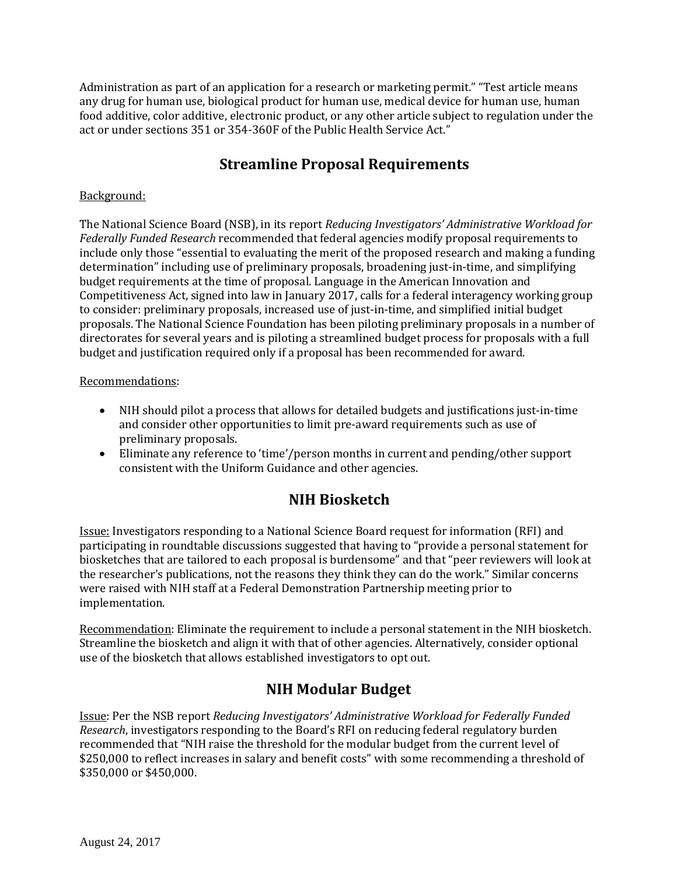Administration as part of an application for a research or marketing permit." "Test article means any drug for human use, biological product for human use, medical device for human use, human food additive, color additive, electronic product, or any other article subject to regulation under the act or under sections 351 or 354-360F of the Public Health Service Act."

### **Streamline Proposal Requirements**

#### Background:

The National Science Board (NSB), in its report *Reducing Investigators' Administrative Workload for Federally Funded Research* recommended that federal agencies modify proposal requirements to include only those "essential to evaluating the merit of the proposed research and making a funding determination" including use of preliminary proposals, broadening just-in-time, and simplifying budget requirements at the time of proposal. Language in the American Innovation and Competitiveness Act, signed into law in January 2017, calls for a federal interagency working group to consider: preliminary proposals, increased use of just-in-time, and simplified initial budget proposals. The National Science Foundation has been piloting preliminary proposals in a number of directorates for several years and is piloting a streamlined budget process for proposals with a full budget and justification required only if a proposal has been recommended for award.

#### Recommendations:

- NIH should pilot a process that allows for detailed budgets and justifications just-in-time and consider other opportunities to limit pre-award requirements such as use of preliminary proposals.
- Eliminate any reference to 'time'/person months in current and pending/other support consistent with the Uniform Guidance and other agencies.

# **NIH Biosketch**

Issue: Investigators responding to a National Science Board request for information (RFI) and participating in roundtable discussions suggested that having to "provide a personal statement for biosketches that are tailored to each proposal is burdensome" and that "peer reviewers will look at the researcher's publications, not the reasons they think they can do the work." Similar concerns were raised with NIH staff at a Federal Demonstration Partnership meeting prior to implementation.

Recommendation: Eliminate the requirement to include a personal statement in the NIH biosketch. Streamline the biosketch and align it with that of other agencies. Alternatively, consider optional use of the biosketch that allows established investigators to opt out.

### **NIH Modular Budget**

Issue: Per the NSB report *Reducing Investigators' Administrative Workload for Federally Funded Research*, investigators responding to the Board's RFI on reducing federal regulatory burden recommended that "NIH raise the threshold for the modular budget from the current level of \$250,000 to reflect increases in salary and benefit costs" with some recommending a threshold of \$350,000 or \$450,000.